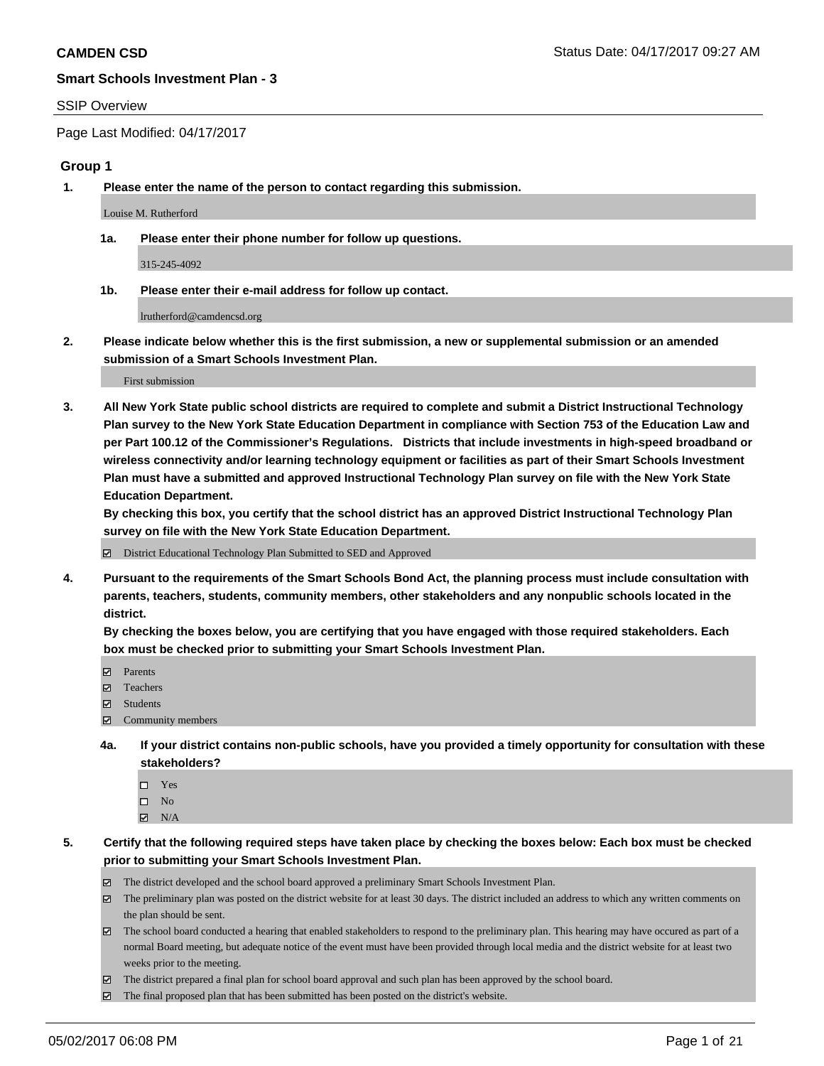#### SSIP Overview

Page Last Modified: 04/17/2017

#### **Group 1**

**1. Please enter the name of the person to contact regarding this submission.**

Louise M. Rutherford

**1a. Please enter their phone number for follow up questions.**

315-245-4092

**1b. Please enter their e-mail address for follow up contact.**

lrutherford@camdencsd.org

**2. Please indicate below whether this is the first submission, a new or supplemental submission or an amended submission of a Smart Schools Investment Plan.**

First submission

**3. All New York State public school districts are required to complete and submit a District Instructional Technology Plan survey to the New York State Education Department in compliance with Section 753 of the Education Law and per Part 100.12 of the Commissioner's Regulations. Districts that include investments in high-speed broadband or wireless connectivity and/or learning technology equipment or facilities as part of their Smart Schools Investment Plan must have a submitted and approved Instructional Technology Plan survey on file with the New York State Education Department.** 

**By checking this box, you certify that the school district has an approved District Instructional Technology Plan survey on file with the New York State Education Department.**

District Educational Technology Plan Submitted to SED and Approved

**4. Pursuant to the requirements of the Smart Schools Bond Act, the planning process must include consultation with parents, teachers, students, community members, other stakeholders and any nonpublic schools located in the district.** 

**By checking the boxes below, you are certifying that you have engaged with those required stakeholders. Each box must be checked prior to submitting your Smart Schools Investment Plan.**

- **マ** Parents
- □ Teachers
- Students
- $\Xi$  Community members
- **4a. If your district contains non-public schools, have you provided a timely opportunity for consultation with these stakeholders?**
	- Yes
	- $\hfill \square$  No
	- $\boxtimes$  N/A
- **5. Certify that the following required steps have taken place by checking the boxes below: Each box must be checked prior to submitting your Smart Schools Investment Plan.**
	- The district developed and the school board approved a preliminary Smart Schools Investment Plan.
	- $\boxtimes$  The preliminary plan was posted on the district website for at least 30 days. The district included an address to which any written comments on the plan should be sent.
	- $\boxtimes$  The school board conducted a hearing that enabled stakeholders to respond to the preliminary plan. This hearing may have occured as part of a normal Board meeting, but adequate notice of the event must have been provided through local media and the district website for at least two weeks prior to the meeting.
	- The district prepared a final plan for school board approval and such plan has been approved by the school board.
	- $\boxtimes$  The final proposed plan that has been submitted has been posted on the district's website.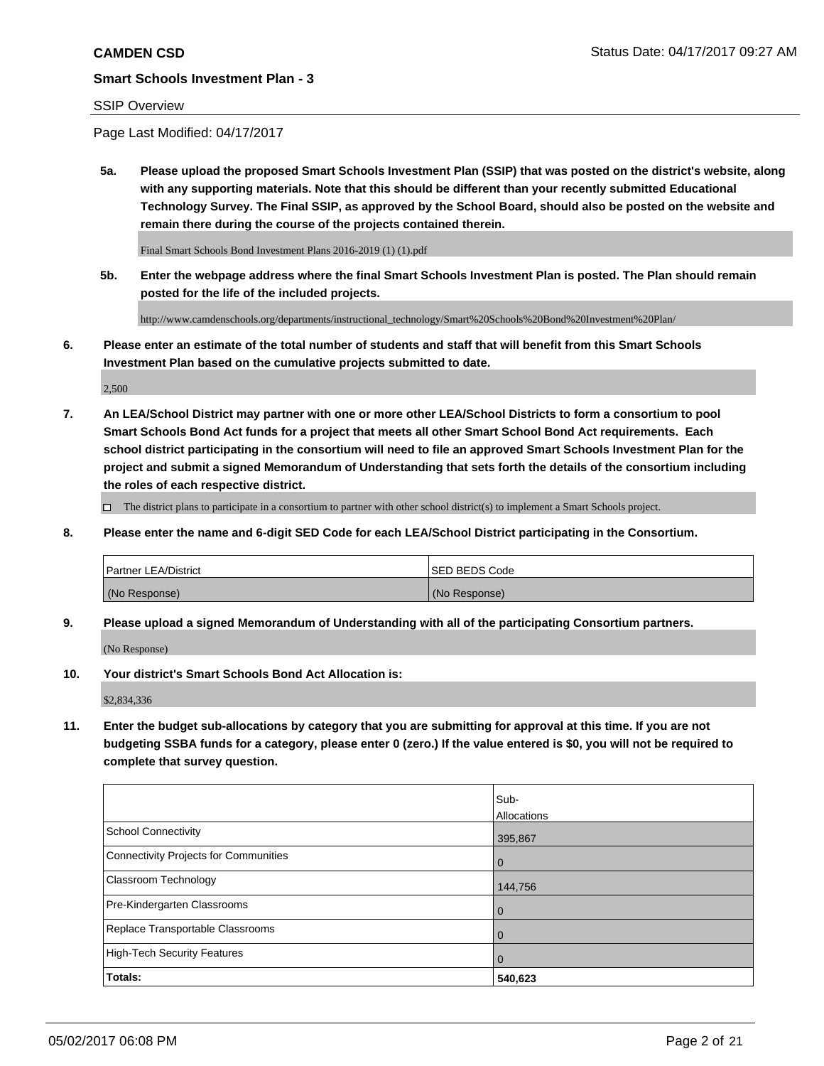### SSIP Overview

Page Last Modified: 04/17/2017

**5a. Please upload the proposed Smart Schools Investment Plan (SSIP) that was posted on the district's website, along with any supporting materials. Note that this should be different than your recently submitted Educational Technology Survey. The Final SSIP, as approved by the School Board, should also be posted on the website and remain there during the course of the projects contained therein.**

Final Smart Schools Bond Investment Plans 2016-2019 (1) (1).pdf

**5b. Enter the webpage address where the final Smart Schools Investment Plan is posted. The Plan should remain posted for the life of the included projects.**

http://www.camdenschools.org/departments/instructional\_technology/Smart%20Schools%20Bond%20Investment%20Plan/

**6. Please enter an estimate of the total number of students and staff that will benefit from this Smart Schools Investment Plan based on the cumulative projects submitted to date.**

2,500

**7. An LEA/School District may partner with one or more other LEA/School Districts to form a consortium to pool Smart Schools Bond Act funds for a project that meets all other Smart School Bond Act requirements. Each school district participating in the consortium will need to file an approved Smart Schools Investment Plan for the project and submit a signed Memorandum of Understanding that sets forth the details of the consortium including the roles of each respective district.**

 $\Box$  The district plans to participate in a consortium to partner with other school district(s) to implement a Smart Schools project.

**8. Please enter the name and 6-digit SED Code for each LEA/School District participating in the Consortium.**

| <b>Partner LEA/District</b> | <b>ISED BEDS Code</b> |
|-----------------------------|-----------------------|
| (No Response)               | (No Response)         |

**9. Please upload a signed Memorandum of Understanding with all of the participating Consortium partners.**

(No Response)

**10. Your district's Smart Schools Bond Act Allocation is:**

\$2,834,336

**11. Enter the budget sub-allocations by category that you are submitting for approval at this time. If you are not budgeting SSBA funds for a category, please enter 0 (zero.) If the value entered is \$0, you will not be required to complete that survey question.**

|                                              | Sub-        |
|----------------------------------------------|-------------|
|                                              | Allocations |
| <b>School Connectivity</b>                   | 395,867     |
| <b>Connectivity Projects for Communities</b> | 0           |
| <b>Classroom Technology</b>                  | 144,756     |
| Pre-Kindergarten Classrooms                  | 0           |
| Replace Transportable Classrooms             | 0           |
| <b>High-Tech Security Features</b>           | 0           |
| Totals:                                      | 540,623     |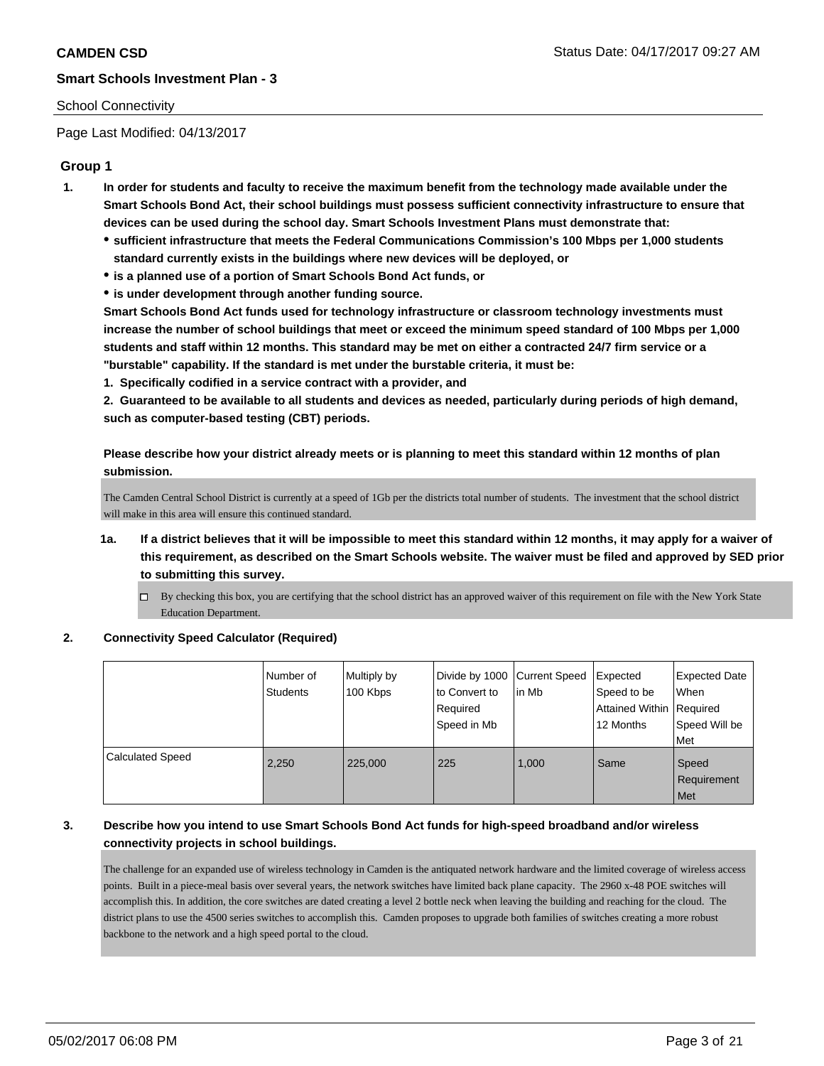### School Connectivity

Page Last Modified: 04/13/2017

### **Group 1**

- **1. In order for students and faculty to receive the maximum benefit from the technology made available under the Smart Schools Bond Act, their school buildings must possess sufficient connectivity infrastructure to ensure that devices can be used during the school day. Smart Schools Investment Plans must demonstrate that:**
	- **sufficient infrastructure that meets the Federal Communications Commission's 100 Mbps per 1,000 students standard currently exists in the buildings where new devices will be deployed, or**
	- **is a planned use of a portion of Smart Schools Bond Act funds, or**
	- **is under development through another funding source.**

**Smart Schools Bond Act funds used for technology infrastructure or classroom technology investments must increase the number of school buildings that meet or exceed the minimum speed standard of 100 Mbps per 1,000 students and staff within 12 months. This standard may be met on either a contracted 24/7 firm service or a "burstable" capability. If the standard is met under the burstable criteria, it must be:**

**1. Specifically codified in a service contract with a provider, and**

**2. Guaranteed to be available to all students and devices as needed, particularly during periods of high demand, such as computer-based testing (CBT) periods.**

**Please describe how your district already meets or is planning to meet this standard within 12 months of plan submission.**

The Camden Central School District is currently at a speed of 1Gb per the districts total number of students. The investment that the school district will make in this area will ensure this continued standard.

- **1a. If a district believes that it will be impossible to meet this standard within 12 months, it may apply for a waiver of this requirement, as described on the Smart Schools website. The waiver must be filed and approved by SED prior to submitting this survey.**
	- $\Box$  By checking this box, you are certifying that the school district has an approved waiver of this requirement on file with the New York State Education Department.

#### **2. Connectivity Speed Calculator (Required)**

|                  | Number of<br><b>Students</b> | Multiply by<br>100 Kbps | Divide by 1000 Current Speed<br>to Convert to<br>Required<br>Speed in Mb | in Mb | Expected<br>Speed to be<br><b>Attained Within Required</b><br>12 Months | <b>Expected Date</b><br>When<br>Speed Will be<br>Met |
|------------------|------------------------------|-------------------------|--------------------------------------------------------------------------|-------|-------------------------------------------------------------------------|------------------------------------------------------|
| Calculated Speed | 2,250                        | 225,000                 | 225                                                                      | 1,000 | Same                                                                    | Speed<br>Requirement<br>Met                          |

### **3. Describe how you intend to use Smart Schools Bond Act funds for high-speed broadband and/or wireless connectivity projects in school buildings.**

The challenge for an expanded use of wireless technology in Camden is the antiquated network hardware and the limited coverage of wireless access points. Built in a piece-meal basis over several years, the network switches have limited back plane capacity. The 2960 x-48 POE switches will accomplish this. In addition, the core switches are dated creating a level 2 bottle neck when leaving the building and reaching for the cloud. The district plans to use the 4500 series switches to accomplish this. Camden proposes to upgrade both families of switches creating a more robust backbone to the network and a high speed portal to the cloud.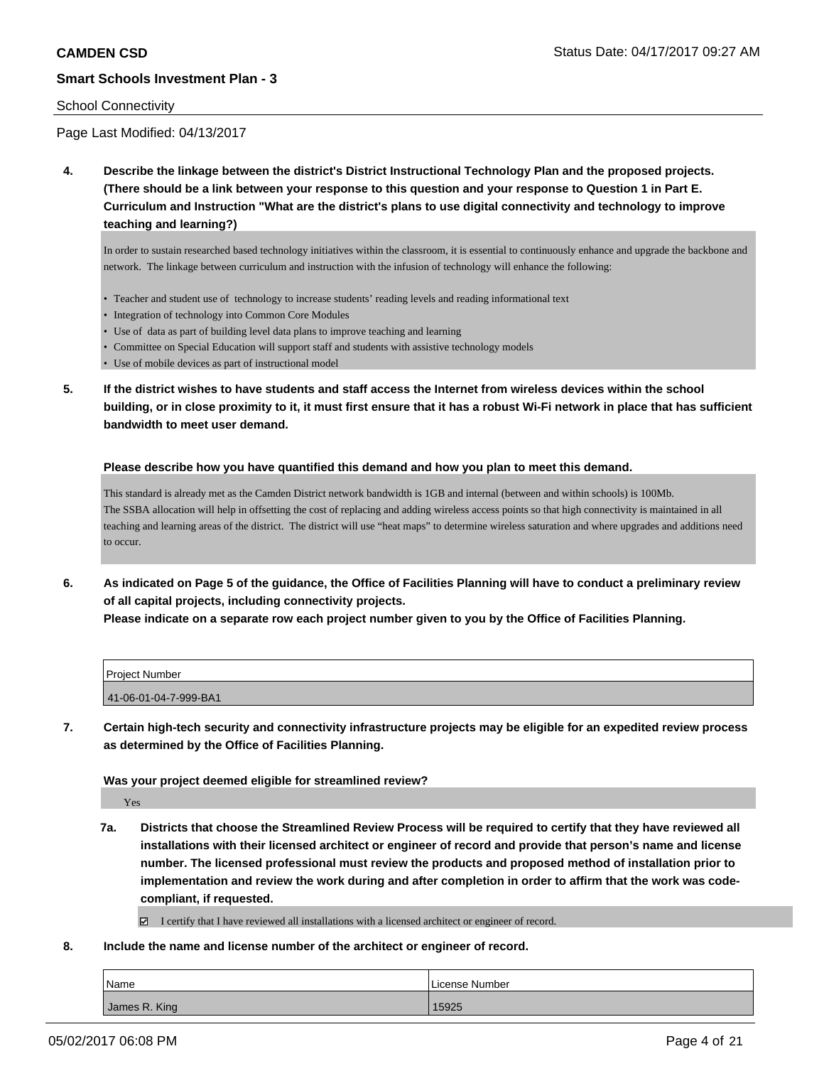#### School Connectivity

Page Last Modified: 04/13/2017

**4. Describe the linkage between the district's District Instructional Technology Plan and the proposed projects. (There should be a link between your response to this question and your response to Question 1 in Part E. Curriculum and Instruction "What are the district's plans to use digital connectivity and technology to improve teaching and learning?)**

In order to sustain researched based technology initiatives within the classroom, it is essential to continuously enhance and upgrade the backbone and network. The linkage between curriculum and instruction with the infusion of technology will enhance the following:

- Teacher and student use of technology to increase students' reading levels and reading informational text
- Integration of technology into Common Core Modules
- Use of data as part of building level data plans to improve teaching and learning
- Committee on Special Education will support staff and students with assistive technology models
- Use of mobile devices as part of instructional model
- **5. If the district wishes to have students and staff access the Internet from wireless devices within the school building, or in close proximity to it, it must first ensure that it has a robust Wi-Fi network in place that has sufficient bandwidth to meet user demand.**

#### **Please describe how you have quantified this demand and how you plan to meet this demand.**

This standard is already met as the Camden District network bandwidth is 1GB and internal (between and within schools) is 100Mb. The SSBA allocation will help in offsetting the cost of replacing and adding wireless access points so that high connectivity is maintained in all teaching and learning areas of the district. The district will use "heat maps" to determine wireless saturation and where upgrades and additions need to occur.

**6. As indicated on Page 5 of the guidance, the Office of Facilities Planning will have to conduct a preliminary review of all capital projects, including connectivity projects. Please indicate on a separate row each project number given to you by the Office of Facilities Planning.**

| <b>Project Number</b> |  |
|-----------------------|--|
| 41-06-01-04-7-999-BA1 |  |

**7. Certain high-tech security and connectivity infrastructure projects may be eligible for an expedited review process as determined by the Office of Facilities Planning.**

**Was your project deemed eligible for streamlined review?**

Yes

**7a. Districts that choose the Streamlined Review Process will be required to certify that they have reviewed all installations with their licensed architect or engineer of record and provide that person's name and license number. The licensed professional must review the products and proposed method of installation prior to implementation and review the work during and after completion in order to affirm that the work was codecompliant, if requested.**

I certify that I have reviewed all installations with a licensed architect or engineer of record.

**8. Include the name and license number of the architect or engineer of record.**

| Name          | License Number |
|---------------|----------------|
| James R. King | 15925          |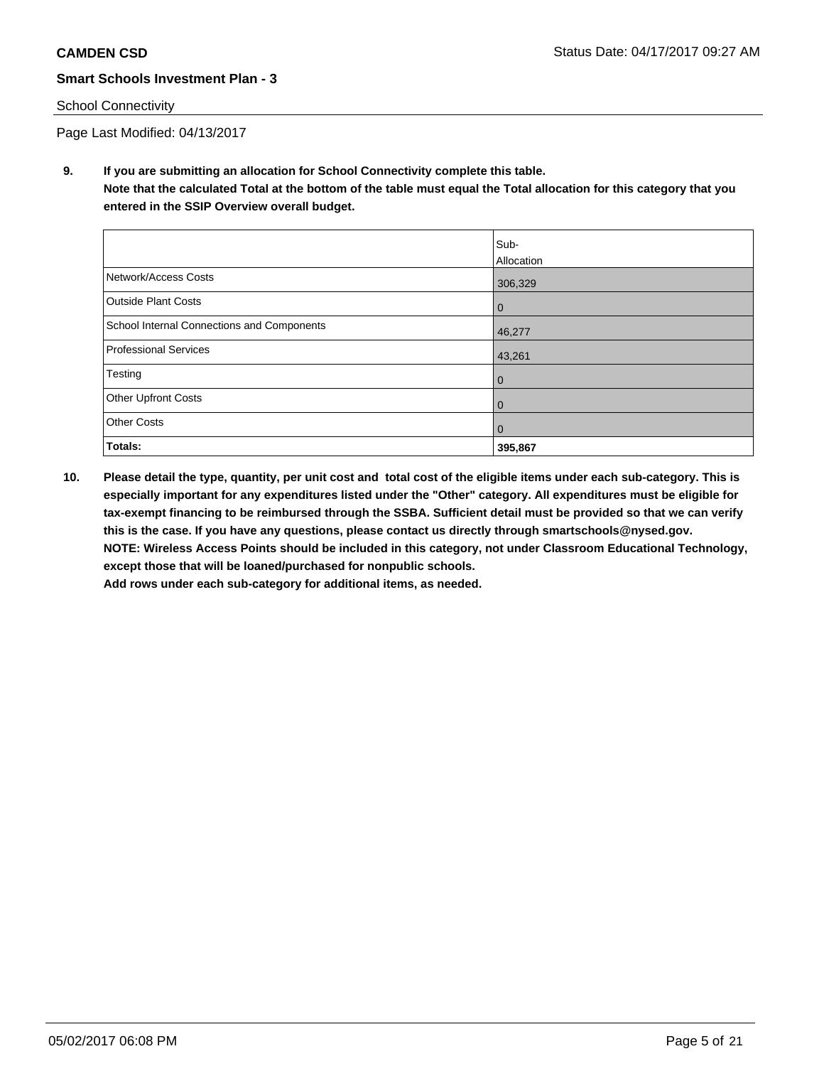### School Connectivity

Page Last Modified: 04/13/2017

**9. If you are submitting an allocation for School Connectivity complete this table. Note that the calculated Total at the bottom of the table must equal the Total allocation for this category that you entered in the SSIP Overview overall budget.** 

|                                            | Sub-              |
|--------------------------------------------|-------------------|
|                                            | <b>Allocation</b> |
| Network/Access Costs                       | 306,329           |
| <b>Outside Plant Costs</b>                 | 0                 |
| School Internal Connections and Components | 46,277            |
| Professional Services                      | 43,261            |
| Testing                                    | $\mathbf 0$       |
| <b>Other Upfront Costs</b>                 | $\mathbf 0$       |
| <b>Other Costs</b>                         | $\mathbf 0$       |
| Totals:                                    | 395,867           |

**10. Please detail the type, quantity, per unit cost and total cost of the eligible items under each sub-category. This is especially important for any expenditures listed under the "Other" category. All expenditures must be eligible for tax-exempt financing to be reimbursed through the SSBA. Sufficient detail must be provided so that we can verify this is the case. If you have any questions, please contact us directly through smartschools@nysed.gov. NOTE: Wireless Access Points should be included in this category, not under Classroom Educational Technology, except those that will be loaned/purchased for nonpublic schools.**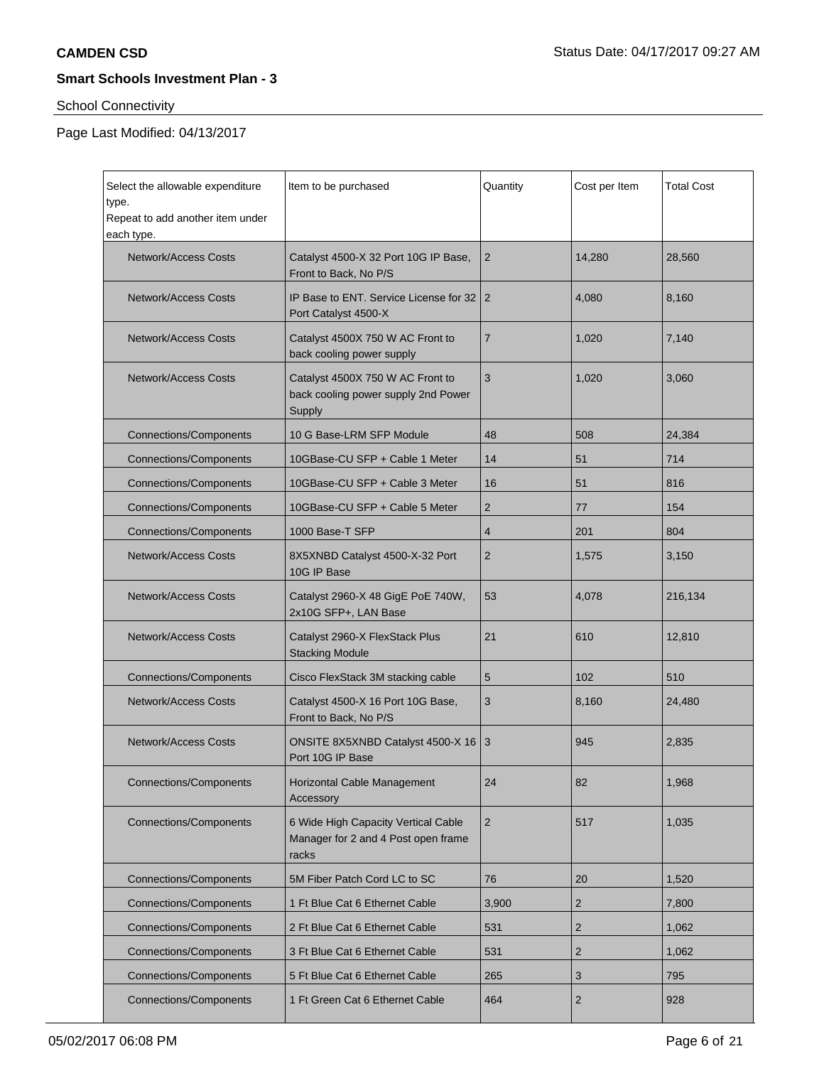# School Connectivity

Page Last Modified: 04/13/2017

| Select the allowable expenditure<br>type.<br>Repeat to add another item under | Item to be purchased                                                                | Quantity       | Cost per Item  | <b>Total Cost</b> |
|-------------------------------------------------------------------------------|-------------------------------------------------------------------------------------|----------------|----------------|-------------------|
| each type.<br><b>Network/Access Costs</b>                                     | Catalyst 4500-X 32 Port 10G IP Base,<br>Front to Back, No P/S                       | $\overline{2}$ | 14,280         | 28,560            |
| <b>Network/Access Costs</b>                                                   | IP Base to ENT. Service License for 32<br>Port Catalyst 4500-X                      | 2              | 4,080          | 8,160             |
| <b>Network/Access Costs</b>                                                   | Catalyst 4500X 750 W AC Front to<br>back cooling power supply                       | 7              | 1,020          | 7,140             |
| <b>Network/Access Costs</b>                                                   | Catalyst 4500X 750 W AC Front to<br>back cooling power supply 2nd Power<br>Supply   | 3              | 1,020          | 3,060             |
| <b>Connections/Components</b>                                                 | 10 G Base-LRM SFP Module                                                            | 48             | 508            | 24,384            |
| <b>Connections/Components</b>                                                 | 10GBase-CU SFP + Cable 1 Meter                                                      | 14             | 51             | 714               |
| <b>Connections/Components</b>                                                 | 10GBase-CU SFP + Cable 3 Meter                                                      | 16             | 51             | 816               |
| <b>Connections/Components</b>                                                 | 10GBase-CU SFP + Cable 5 Meter                                                      | 2              | 77             | 154               |
| <b>Connections/Components</b>                                                 | 1000 Base-T SFP                                                                     | $\overline{4}$ | 201            | 804               |
| <b>Network/Access Costs</b>                                                   | 8X5XNBD Catalyst 4500-X-32 Port<br>10G IP Base                                      | $\overline{2}$ | 1,575          | 3,150             |
| <b>Network/Access Costs</b>                                                   | Catalyst 2960-X 48 GigE PoE 740W,<br>2x10G SFP+, LAN Base                           | 53             | 4,078          | 216,134           |
| <b>Network/Access Costs</b>                                                   | Catalyst 2960-X FlexStack Plus<br><b>Stacking Module</b>                            | 21             | 610            | 12,810            |
| <b>Connections/Components</b>                                                 | Cisco FlexStack 3M stacking cable                                                   | 5              | 102            | 510               |
| <b>Network/Access Costs</b>                                                   | Catalyst 4500-X 16 Port 10G Base,<br>Front to Back, No P/S                          | 3              | 8,160          | 24,480            |
| <b>Network/Access Costs</b>                                                   | ONSITE 8X5XNBD Catalyst 4500-X 16 3<br>Port 10G IP Base                             |                | 945            | 2,835             |
| <b>Connections/Components</b>                                                 | Horizontal Cable Management<br>Accessory                                            | 24             | 82             | 1,968             |
| <b>Connections/Components</b>                                                 | 6 Wide High Capacity Vertical Cable<br>Manager for 2 and 4 Post open frame<br>racks | $\overline{2}$ | 517            | 1,035             |
| <b>Connections/Components</b>                                                 | 5M Fiber Patch Cord LC to SC                                                        | 76             | 20             | 1,520             |
| <b>Connections/Components</b>                                                 | 1 Ft Blue Cat 6 Ethernet Cable                                                      | 3,900          | $\overline{2}$ | 7,800             |
| <b>Connections/Components</b>                                                 | 2 Ft Blue Cat 6 Ethernet Cable                                                      | 531            | $\overline{2}$ | 1,062             |
| <b>Connections/Components</b>                                                 | 3 Ft Blue Cat 6 Ethernet Cable                                                      | 531            | 2              | 1,062             |
| <b>Connections/Components</b>                                                 | 5 Ft Blue Cat 6 Ethernet Cable                                                      | 265            | 3              | 795               |
| <b>Connections/Components</b>                                                 | 1 Ft Green Cat 6 Ethernet Cable                                                     | 464            | $\overline{2}$ | 928               |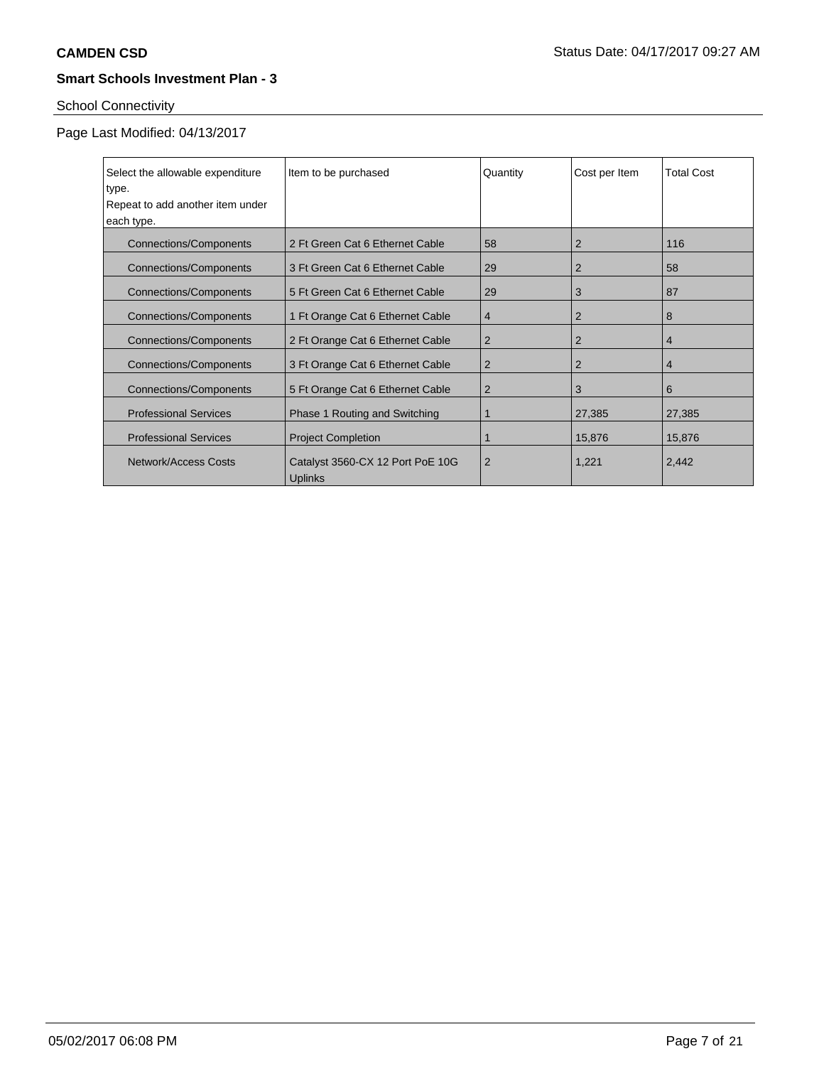# School Connectivity

# Page Last Modified: 04/13/2017

| Select the allowable expenditure | Item to be purchased                               | Quantity       | Cost per Item  | <b>Total Cost</b> |
|----------------------------------|----------------------------------------------------|----------------|----------------|-------------------|
| type.                            |                                                    |                |                |                   |
| Repeat to add another item under |                                                    |                |                |                   |
| each type.                       |                                                    |                |                |                   |
| <b>Connections/Components</b>    | 2 Ft Green Cat 6 Ethernet Cable                    | 58             | 2              | 116               |
| <b>Connections/Components</b>    | 3 Ft Green Cat 6 Ethernet Cable                    | 29             | $\overline{2}$ | 58                |
| <b>Connections/Components</b>    | 5 Ft Green Cat 6 Ethernet Cable                    | 29             | 3              | 87                |
| <b>Connections/Components</b>    | 1 Ft Orange Cat 6 Ethernet Cable                   | $\overline{4}$ | 2              | 8                 |
| <b>Connections/Components</b>    | 2 Ft Orange Cat 6 Ethernet Cable                   | $\overline{2}$ | $\overline{2}$ | $\overline{4}$    |
| <b>Connections/Components</b>    | 3 Ft Orange Cat 6 Ethernet Cable                   | $\overline{2}$ | $\overline{2}$ | $\overline{4}$    |
| <b>Connections/Components</b>    | 5 Ft Orange Cat 6 Ethernet Cable                   | 2              | 3              | 6                 |
| <b>Professional Services</b>     | Phase 1 Routing and Switching                      | 1              | 27,385         | 27,385            |
| <b>Professional Services</b>     | <b>Project Completion</b>                          | 1              | 15,876         | 15,876            |
| Network/Access Costs             | Catalyst 3560-CX 12 Port PoE 10G<br><b>Uplinks</b> | $\overline{2}$ | 1,221          | 2,442             |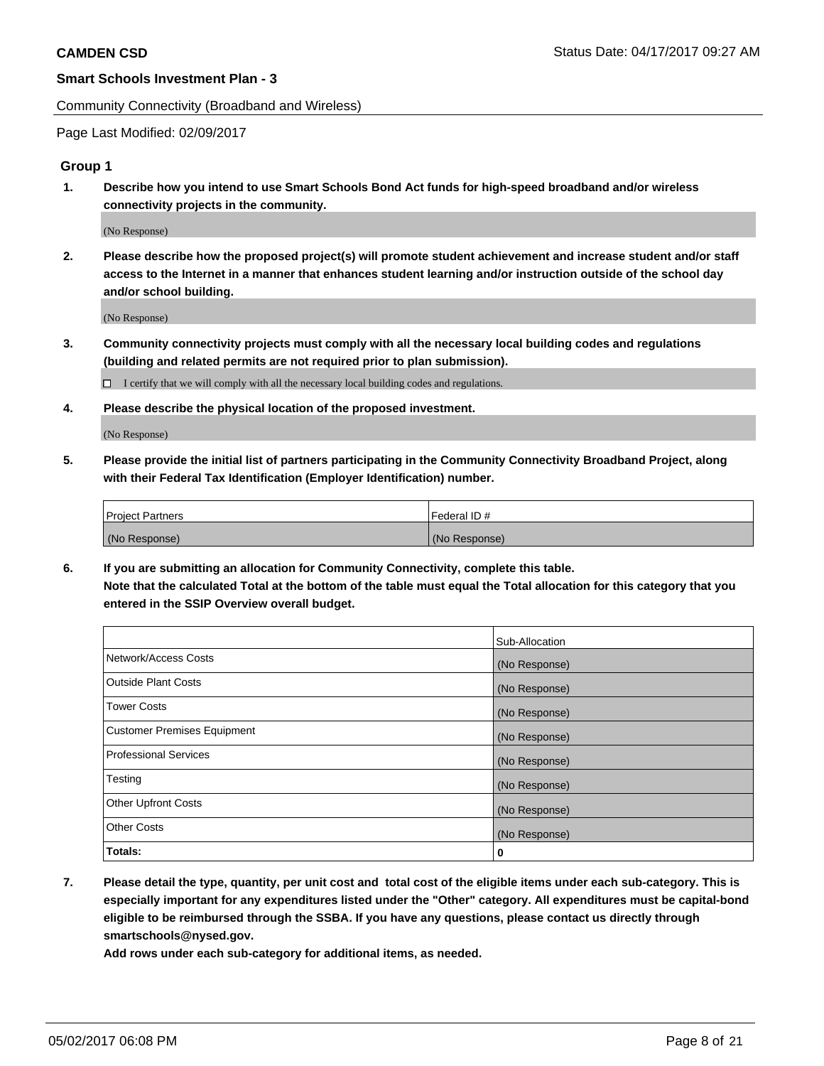Community Connectivity (Broadband and Wireless)

Page Last Modified: 02/09/2017

### **Group 1**

**1. Describe how you intend to use Smart Schools Bond Act funds for high-speed broadband and/or wireless connectivity projects in the community.**

(No Response)

**2. Please describe how the proposed project(s) will promote student achievement and increase student and/or staff access to the Internet in a manner that enhances student learning and/or instruction outside of the school day and/or school building.**

(No Response)

**3. Community connectivity projects must comply with all the necessary local building codes and regulations (building and related permits are not required prior to plan submission).**

 $\Box$  I certify that we will comply with all the necessary local building codes and regulations.

**4. Please describe the physical location of the proposed investment.**

(No Response)

**5. Please provide the initial list of partners participating in the Community Connectivity Broadband Project, along with their Federal Tax Identification (Employer Identification) number.**

| <b>Project Partners</b> | Federal ID#     |
|-------------------------|-----------------|
| (No Response)           | l (No Response) |

**6. If you are submitting an allocation for Community Connectivity, complete this table. Note that the calculated Total at the bottom of the table must equal the Total allocation for this category that you entered in the SSIP Overview overall budget.**

|                              | Sub-Allocation |
|------------------------------|----------------|
| Network/Access Costs         | (No Response)  |
| Outside Plant Costs          | (No Response)  |
| <b>Tower Costs</b>           | (No Response)  |
| Customer Premises Equipment  | (No Response)  |
| <b>Professional Services</b> | (No Response)  |
| Testing                      | (No Response)  |
| <b>Other Upfront Costs</b>   | (No Response)  |
| <b>Other Costs</b>           | (No Response)  |
| Totals:                      | 0              |

**7. Please detail the type, quantity, per unit cost and total cost of the eligible items under each sub-category. This is especially important for any expenditures listed under the "Other" category. All expenditures must be capital-bond eligible to be reimbursed through the SSBA. If you have any questions, please contact us directly through smartschools@nysed.gov.**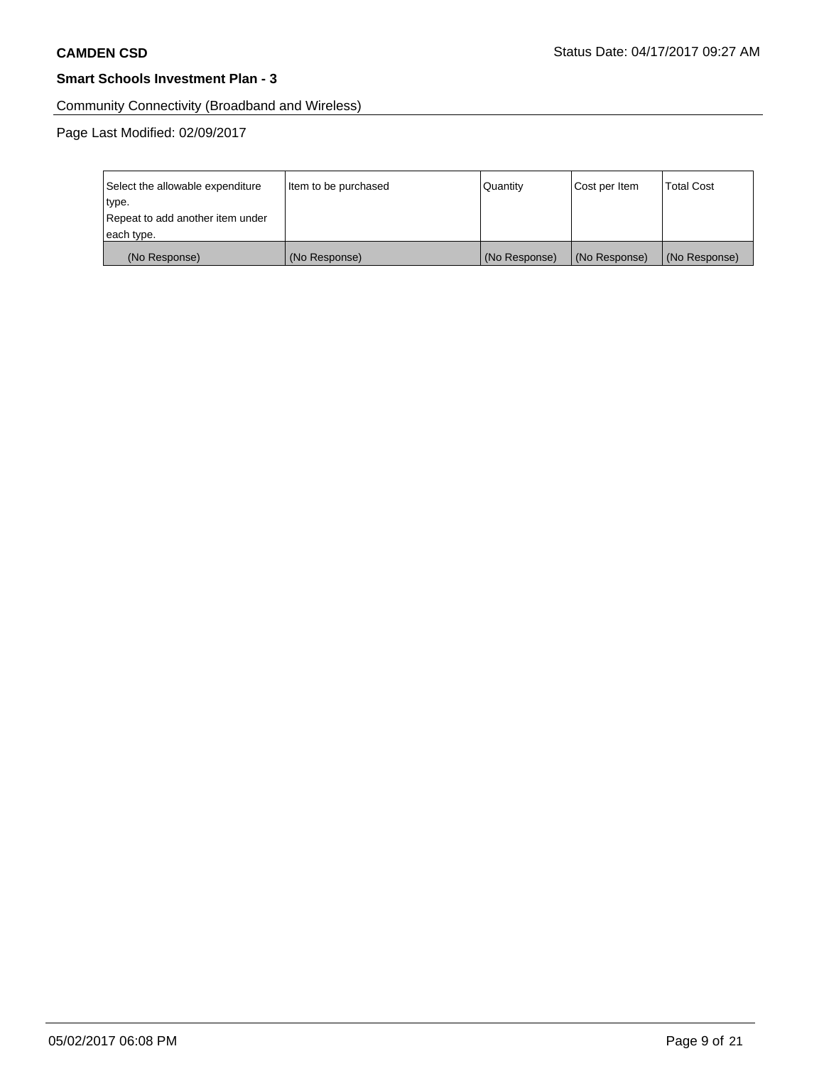Community Connectivity (Broadband and Wireless)

Page Last Modified: 02/09/2017

| Select the allowable expenditure | Item to be purchased | Quantity      | Cost per Item | <b>Total Cost</b> |
|----------------------------------|----------------------|---------------|---------------|-------------------|
| type.                            |                      |               |               |                   |
| Repeat to add another item under |                      |               |               |                   |
| each type.                       |                      |               |               |                   |
| (No Response)                    | (No Response)        | (No Response) | (No Response) | (No Response)     |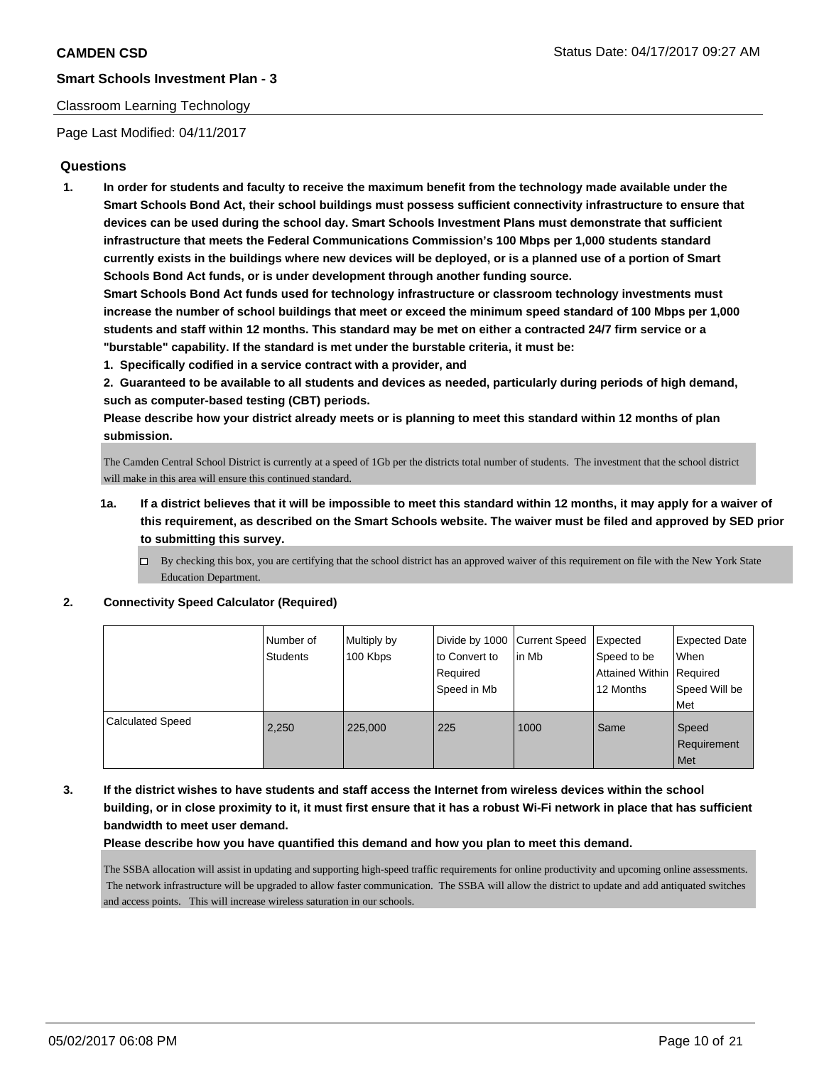### Classroom Learning Technology

Page Last Modified: 04/11/2017

### **Questions**

**1. In order for students and faculty to receive the maximum benefit from the technology made available under the Smart Schools Bond Act, their school buildings must possess sufficient connectivity infrastructure to ensure that devices can be used during the school day. Smart Schools Investment Plans must demonstrate that sufficient infrastructure that meets the Federal Communications Commission's 100 Mbps per 1,000 students standard currently exists in the buildings where new devices will be deployed, or is a planned use of a portion of Smart Schools Bond Act funds, or is under development through another funding source.**

**Smart Schools Bond Act funds used for technology infrastructure or classroom technology investments must increase the number of school buildings that meet or exceed the minimum speed standard of 100 Mbps per 1,000 students and staff within 12 months. This standard may be met on either a contracted 24/7 firm service or a "burstable" capability. If the standard is met under the burstable criteria, it must be:**

**1. Specifically codified in a service contract with a provider, and**

**2. Guaranteed to be available to all students and devices as needed, particularly during periods of high demand, such as computer-based testing (CBT) periods.**

**Please describe how your district already meets or is planning to meet this standard within 12 months of plan submission.**

The Camden Central School District is currently at a speed of 1Gb per the districts total number of students. The investment that the school district will make in this area will ensure this continued standard.

- **1a. If a district believes that it will be impossible to meet this standard within 12 months, it may apply for a waiver of this requirement, as described on the Smart Schools website. The waiver must be filed and approved by SED prior to submitting this survey.**
	- $\Box$  By checking this box, you are certifying that the school district has an approved waiver of this requirement on file with the New York State Education Department.

#### **2. Connectivity Speed Calculator (Required)**

|                         | l Number of<br><b>Students</b> | Multiply by<br>100 Kbps | Divide by 1000 Current Speed<br>to Convert to<br>Required<br>Speed in Mb | in Mb | Expected<br>Speed to be<br>Attained Within Required<br>12 Months | <b>Expected Date</b><br>When<br>Speed Will be<br>Met |
|-------------------------|--------------------------------|-------------------------|--------------------------------------------------------------------------|-------|------------------------------------------------------------------|------------------------------------------------------|
| <b>Calculated Speed</b> | 2,250                          | 225,000                 | 225                                                                      | 1000  | Same                                                             | Speed<br>Requirement<br>Met                          |

## **3. If the district wishes to have students and staff access the Internet from wireless devices within the school building, or in close proximity to it, it must first ensure that it has a robust Wi-Fi network in place that has sufficient bandwidth to meet user demand.**

**Please describe how you have quantified this demand and how you plan to meet this demand.**

The SSBA allocation will assist in updating and supporting high-speed traffic requirements for online productivity and upcoming online assessments. The network infrastructure will be upgraded to allow faster communication. The SSBA will allow the district to update and add antiquated switches and access points. This will increase wireless saturation in our schools.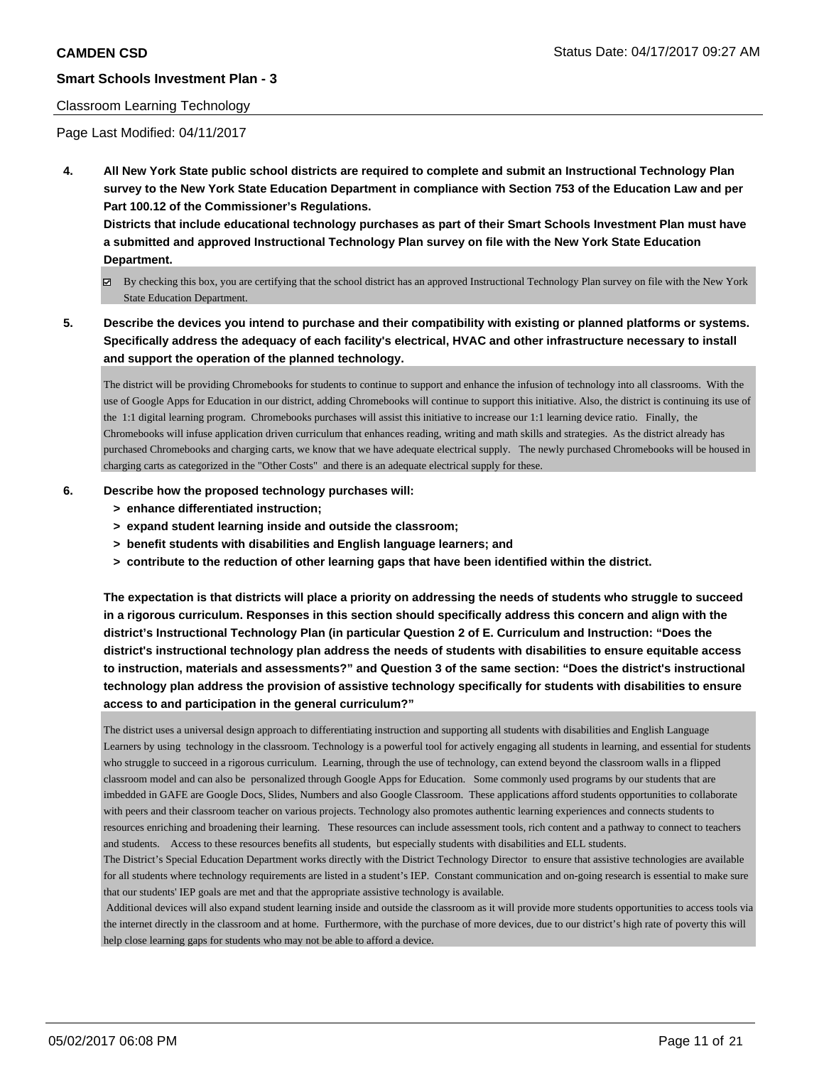#### Classroom Learning Technology

Page Last Modified: 04/11/2017

**4. All New York State public school districts are required to complete and submit an Instructional Technology Plan survey to the New York State Education Department in compliance with Section 753 of the Education Law and per Part 100.12 of the Commissioner's Regulations.**

**Districts that include educational technology purchases as part of their Smart Schools Investment Plan must have a submitted and approved Instructional Technology Plan survey on file with the New York State Education Department.**

- By checking this box, you are certifying that the school district has an approved Instructional Technology Plan survey on file with the New York State Education Department.
- **5. Describe the devices you intend to purchase and their compatibility with existing or planned platforms or systems. Specifically address the adequacy of each facility's electrical, HVAC and other infrastructure necessary to install and support the operation of the planned technology.**

The district will be providing Chromebooks for students to continue to support and enhance the infusion of technology into all classrooms. With the use of Google Apps for Education in our district, adding Chromebooks will continue to support this initiative. Also, the district is continuing its use of the 1:1 digital learning program. Chromebooks purchases will assist this initiative to increase our 1:1 learning device ratio. Finally, the Chromebooks will infuse application driven curriculum that enhances reading, writing and math skills and strategies. As the district already has purchased Chromebooks and charging carts, we know that we have adequate electrical supply. The newly purchased Chromebooks will be housed in charging carts as categorized in the "Other Costs" and there is an adequate electrical supply for these.

#### **6. Describe how the proposed technology purchases will:**

- **> enhance differentiated instruction;**
- **> expand student learning inside and outside the classroom;**
- **> benefit students with disabilities and English language learners; and**
- **> contribute to the reduction of other learning gaps that have been identified within the district.**

**The expectation is that districts will place a priority on addressing the needs of students who struggle to succeed in a rigorous curriculum. Responses in this section should specifically address this concern and align with the district's Instructional Technology Plan (in particular Question 2 of E. Curriculum and Instruction: "Does the district's instructional technology plan address the needs of students with disabilities to ensure equitable access to instruction, materials and assessments?" and Question 3 of the same section: "Does the district's instructional technology plan address the provision of assistive technology specifically for students with disabilities to ensure access to and participation in the general curriculum?"**

The district uses a universal design approach to differentiating instruction and supporting all students with disabilities and English Language Learners by using technology in the classroom. Technology is a powerful tool for actively engaging all students in learning, and essential for students who struggle to succeed in a rigorous curriculum. Learning, through the use of technology, can extend beyond the classroom walls in a flipped classroom model and can also be personalized through Google Apps for Education. Some commonly used programs by our students that are imbedded in GAFE are Google Docs, Slides, Numbers and also Google Classroom. These applications afford students opportunities to collaborate with peers and their classroom teacher on various projects. Technology also promotes authentic learning experiences and connects students to resources enriching and broadening their learning. These resources can include assessment tools, rich content and a pathway to connect to teachers and students. Access to these resources benefits all students, but especially students with disabilities and ELL students.

The District's Special Education Department works directly with the District Technology Director to ensure that assistive technologies are available for all students where technology requirements are listed in a student's IEP. Constant communication and on-going research is essential to make sure that our students' IEP goals are met and that the appropriate assistive technology is available.

 Additional devices will also expand student learning inside and outside the classroom as it will provide more students opportunities to access tools via the internet directly in the classroom and at home. Furthermore, with the purchase of more devices, due to our district's high rate of poverty this will help close learning gaps for students who may not be able to afford a device.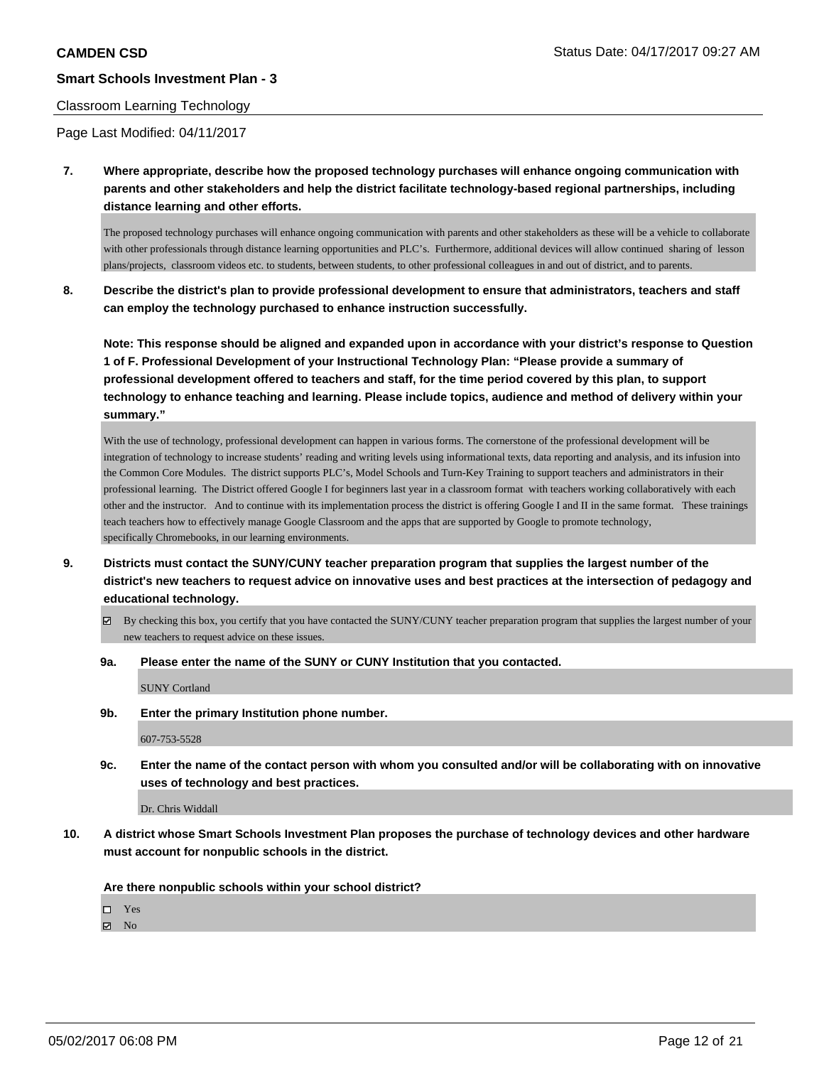#### Classroom Learning Technology

Page Last Modified: 04/11/2017

**7. Where appropriate, describe how the proposed technology purchases will enhance ongoing communication with parents and other stakeholders and help the district facilitate technology-based regional partnerships, including distance learning and other efforts.**

The proposed technology purchases will enhance ongoing communication with parents and other stakeholders as these will be a vehicle to collaborate with other professionals through distance learning opportunities and PLC's. Furthermore, additional devices will allow continued sharing of lesson plans/projects, classroom videos etc. to students, between students, to other professional colleagues in and out of district, and to parents.

**8. Describe the district's plan to provide professional development to ensure that administrators, teachers and staff can employ the technology purchased to enhance instruction successfully.**

**Note: This response should be aligned and expanded upon in accordance with your district's response to Question 1 of F. Professional Development of your Instructional Technology Plan: "Please provide a summary of professional development offered to teachers and staff, for the time period covered by this plan, to support technology to enhance teaching and learning. Please include topics, audience and method of delivery within your summary."**

With the use of technology, professional development can happen in various forms. The cornerstone of the professional development will be integration of technology to increase students' reading and writing levels using informational texts, data reporting and analysis, and its infusion into the Common Core Modules. The district supports PLC's, Model Schools and Turn-Key Training to support teachers and administrators in their professional learning. The District offered Google I for beginners last year in a classroom format with teachers working collaboratively with each other and the instructor. And to continue with its implementation process the district is offering Google I and II in the same format. These trainings teach teachers how to effectively manage Google Classroom and the apps that are supported by Google to promote technology, specifically Chromebooks, in our learning environments.

- **9. Districts must contact the SUNY/CUNY teacher preparation program that supplies the largest number of the district's new teachers to request advice on innovative uses and best practices at the intersection of pedagogy and educational technology.**
	- By checking this box, you certify that you have contacted the SUNY/CUNY teacher preparation program that supplies the largest number of your new teachers to request advice on these issues.
	- **9a. Please enter the name of the SUNY or CUNY Institution that you contacted.**

SUNY Cortland

**9b. Enter the primary Institution phone number.**

607-753-5528

**9c. Enter the name of the contact person with whom you consulted and/or will be collaborating with on innovative uses of technology and best practices.**

Dr. Chris Widdall

**10. A district whose Smart Schools Investment Plan proposes the purchase of technology devices and other hardware must account for nonpublic schools in the district.**

**Are there nonpublic schools within your school district?**

□ Yes

 $\blacksquare$  No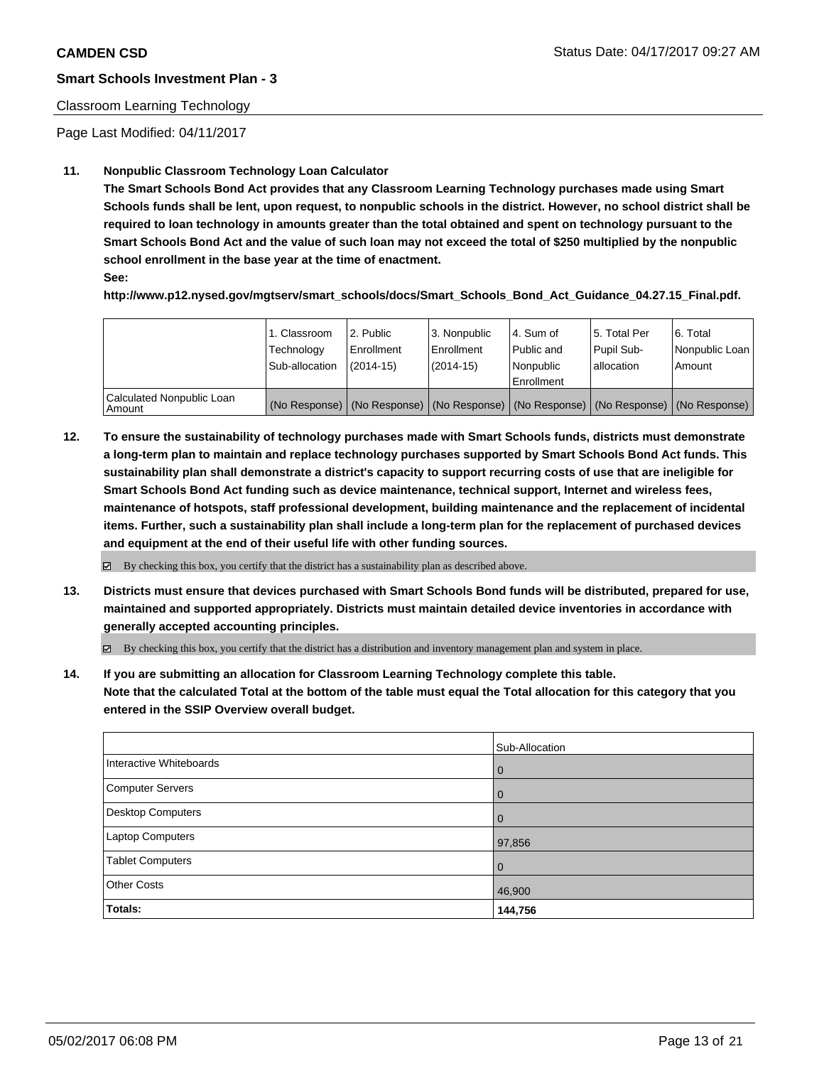### Classroom Learning Technology

Page Last Modified: 04/11/2017

### **11. Nonpublic Classroom Technology Loan Calculator**

**The Smart Schools Bond Act provides that any Classroom Learning Technology purchases made using Smart Schools funds shall be lent, upon request, to nonpublic schools in the district. However, no school district shall be required to loan technology in amounts greater than the total obtained and spent on technology pursuant to the Smart Schools Bond Act and the value of such loan may not exceed the total of \$250 multiplied by the nonpublic school enrollment in the base year at the time of enactment.**

**See:**

**http://www.p12.nysed.gov/mgtserv/smart\_schools/docs/Smart\_Schools\_Bond\_Act\_Guidance\_04.27.15\_Final.pdf.**

|                                       | 1. Classroom<br>Technology<br>Sub-allocation | 2. Public<br>l Enrollment<br>$(2014-15)$ | 3. Nonpublic<br>Enrollment<br>$(2014-15)$ | l 4. Sum of<br>l Public and<br>l Nonpublic<br>l Enrollment | 15. Total Per<br>Pupil Sub-<br>lallocation | 6. Total<br>Nonpublic Loan<br>Amount                                                          |
|---------------------------------------|----------------------------------------------|------------------------------------------|-------------------------------------------|------------------------------------------------------------|--------------------------------------------|-----------------------------------------------------------------------------------------------|
| Calculated Nonpublic Loan<br>l Amount |                                              |                                          |                                           |                                                            |                                            | (No Response)   (No Response)   (No Response)   (No Response)   (No Response)   (No Response) |

**12. To ensure the sustainability of technology purchases made with Smart Schools funds, districts must demonstrate a long-term plan to maintain and replace technology purchases supported by Smart Schools Bond Act funds. This sustainability plan shall demonstrate a district's capacity to support recurring costs of use that are ineligible for Smart Schools Bond Act funding such as device maintenance, technical support, Internet and wireless fees, maintenance of hotspots, staff professional development, building maintenance and the replacement of incidental items. Further, such a sustainability plan shall include a long-term plan for the replacement of purchased devices and equipment at the end of their useful life with other funding sources.**

 $\boxtimes$  By checking this box, you certify that the district has a sustainability plan as described above.

**13. Districts must ensure that devices purchased with Smart Schools Bond funds will be distributed, prepared for use, maintained and supported appropriately. Districts must maintain detailed device inventories in accordance with generally accepted accounting principles.**

By checking this box, you certify that the district has a distribution and inventory management plan and system in place.

**14. If you are submitting an allocation for Classroom Learning Technology complete this table. Note that the calculated Total at the bottom of the table must equal the Total allocation for this category that you entered in the SSIP Overview overall budget.**

|                         | Sub-Allocation |
|-------------------------|----------------|
| Interactive Whiteboards | 0              |
| Computer Servers        | $\overline{0}$ |
| Desktop Computers       | $\overline{0}$ |
| Laptop Computers        | 97,856         |
| <b>Tablet Computers</b> | $\overline{0}$ |
| <b>Other Costs</b>      | 46,900         |
| Totals:                 | 144,756        |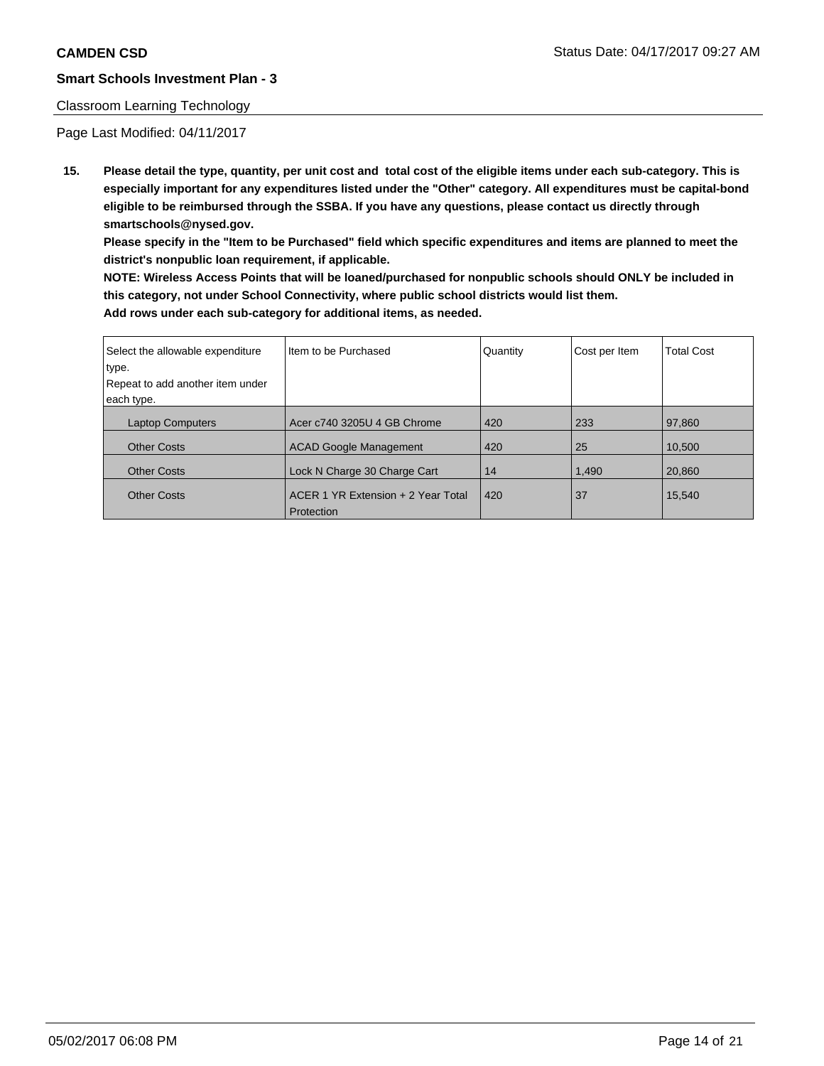#### Classroom Learning Technology

Page Last Modified: 04/11/2017

**15. Please detail the type, quantity, per unit cost and total cost of the eligible items under each sub-category. This is especially important for any expenditures listed under the "Other" category. All expenditures must be capital-bond eligible to be reimbursed through the SSBA. If you have any questions, please contact us directly through smartschools@nysed.gov.**

**Please specify in the "Item to be Purchased" field which specific expenditures and items are planned to meet the district's nonpublic loan requirement, if applicable.**

**NOTE: Wireless Access Points that will be loaned/purchased for nonpublic schools should ONLY be included in this category, not under School Connectivity, where public school districts would list them. Add rows under each sub-category for additional items, as needed.**

| Select the allowable expenditure | I Item to be Purchased             | Quantity | Cost per Item | <b>Total Cost</b> |
|----------------------------------|------------------------------------|----------|---------------|-------------------|
| type.                            |                                    |          |               |                   |
| Repeat to add another item under |                                    |          |               |                   |
| each type.                       |                                    |          |               |                   |
| <b>Laptop Computers</b>          | Acer c740 3205U 4 GB Chrome        | 420      | 233           | 97,860            |
| <b>Other Costs</b>               | <b>ACAD Google Management</b>      | 420      | 25            | 10.500            |
| <b>Other Costs</b>               | Lock N Charge 30 Charge Cart       | 14       | 1,490         | 20.860            |
| <b>Other Costs</b>               | ACER 1 YR Extension + 2 Year Total | 420      | 37            | 15,540            |
|                                  | Protection                         |          |               |                   |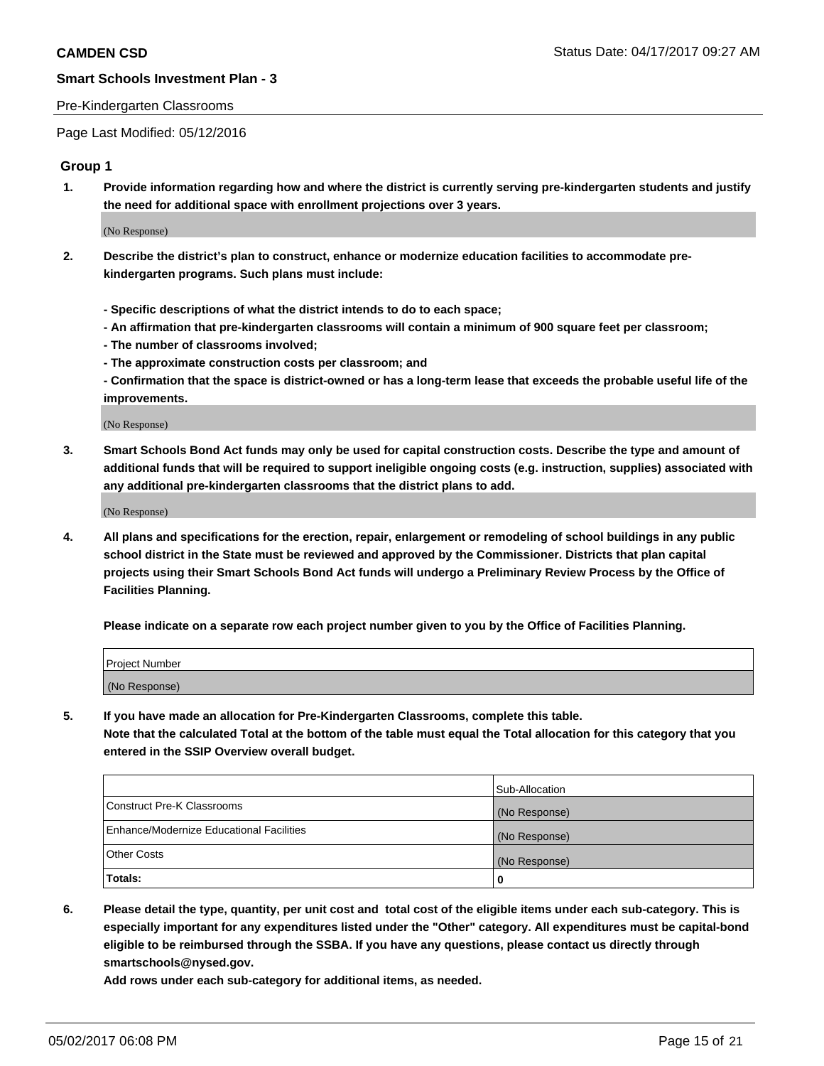#### Pre-Kindergarten Classrooms

Page Last Modified: 05/12/2016

#### **Group 1**

**1. Provide information regarding how and where the district is currently serving pre-kindergarten students and justify the need for additional space with enrollment projections over 3 years.**

(No Response)

- **2. Describe the district's plan to construct, enhance or modernize education facilities to accommodate prekindergarten programs. Such plans must include:**
	- **Specific descriptions of what the district intends to do to each space;**
	- **An affirmation that pre-kindergarten classrooms will contain a minimum of 900 square feet per classroom;**
	- **The number of classrooms involved;**
	- **The approximate construction costs per classroom; and**
	- **Confirmation that the space is district-owned or has a long-term lease that exceeds the probable useful life of the improvements.**

(No Response)

**3. Smart Schools Bond Act funds may only be used for capital construction costs. Describe the type and amount of additional funds that will be required to support ineligible ongoing costs (e.g. instruction, supplies) associated with any additional pre-kindergarten classrooms that the district plans to add.**

(No Response)

**4. All plans and specifications for the erection, repair, enlargement or remodeling of school buildings in any public school district in the State must be reviewed and approved by the Commissioner. Districts that plan capital projects using their Smart Schools Bond Act funds will undergo a Preliminary Review Process by the Office of Facilities Planning.**

**Please indicate on a separate row each project number given to you by the Office of Facilities Planning.**

| Project Number |  |
|----------------|--|
| (No Response)  |  |

**5. If you have made an allocation for Pre-Kindergarten Classrooms, complete this table. Note that the calculated Total at the bottom of the table must equal the Total allocation for this category that you entered in the SSIP Overview overall budget.**

| Totals:                                  | 0              |
|------------------------------------------|----------------|
| Other Costs                              | (No Response)  |
| Enhance/Modernize Educational Facilities | (No Response)  |
| Construct Pre-K Classrooms               | (No Response)  |
|                                          | Sub-Allocation |

**6. Please detail the type, quantity, per unit cost and total cost of the eligible items under each sub-category. This is especially important for any expenditures listed under the "Other" category. All expenditures must be capital-bond eligible to be reimbursed through the SSBA. If you have any questions, please contact us directly through smartschools@nysed.gov.**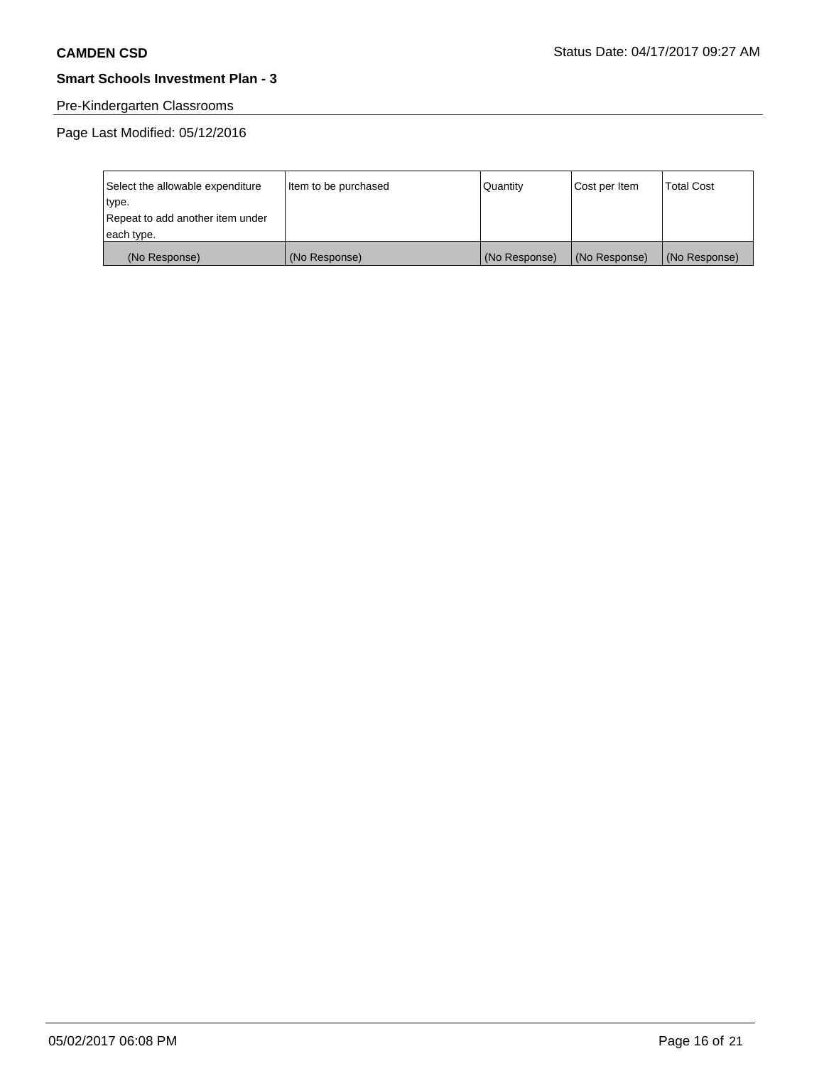# Pre-Kindergarten Classrooms

Page Last Modified: 05/12/2016

| Select the allowable expenditure | Item to be purchased | Quantity      | Cost per Item | <b>Total Cost</b> |
|----------------------------------|----------------------|---------------|---------------|-------------------|
| type.                            |                      |               |               |                   |
| Repeat to add another item under |                      |               |               |                   |
| each type.                       |                      |               |               |                   |
| (No Response)                    | (No Response)        | (No Response) | (No Response) | (No Response)     |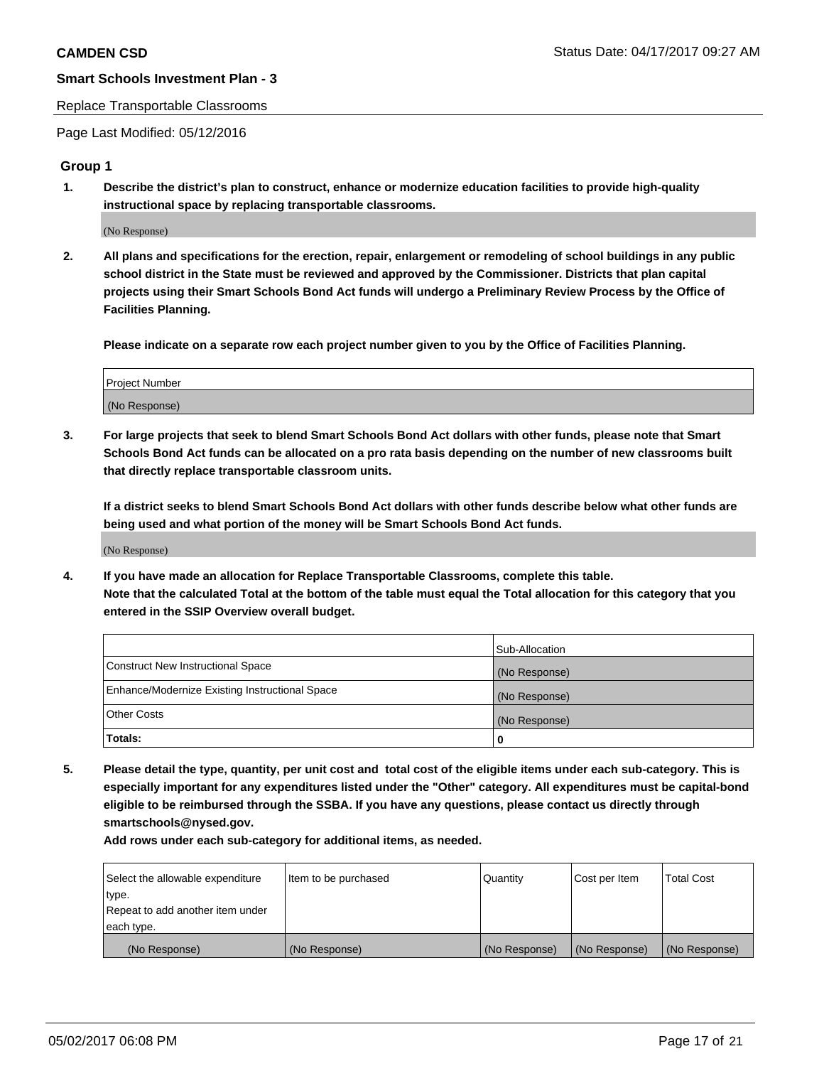#### Replace Transportable Classrooms

Page Last Modified: 05/12/2016

### **Group 1**

**1. Describe the district's plan to construct, enhance or modernize education facilities to provide high-quality instructional space by replacing transportable classrooms.**

(No Response)

**2. All plans and specifications for the erection, repair, enlargement or remodeling of school buildings in any public school district in the State must be reviewed and approved by the Commissioner. Districts that plan capital projects using their Smart Schools Bond Act funds will undergo a Preliminary Review Process by the Office of Facilities Planning.**

**Please indicate on a separate row each project number given to you by the Office of Facilities Planning.**

| Project Number |  |
|----------------|--|
| (No Response)  |  |

**3. For large projects that seek to blend Smart Schools Bond Act dollars with other funds, please note that Smart Schools Bond Act funds can be allocated on a pro rata basis depending on the number of new classrooms built that directly replace transportable classroom units.**

**If a district seeks to blend Smart Schools Bond Act dollars with other funds describe below what other funds are being used and what portion of the money will be Smart Schools Bond Act funds.**

(No Response)

**4. If you have made an allocation for Replace Transportable Classrooms, complete this table. Note that the calculated Total at the bottom of the table must equal the Total allocation for this category that you entered in the SSIP Overview overall budget.**

|                                                | Sub-Allocation |
|------------------------------------------------|----------------|
| Construct New Instructional Space              | (No Response)  |
| Enhance/Modernize Existing Instructional Space | (No Response)  |
| Other Costs                                    | (No Response)  |
| Totals:                                        | $\Omega$       |

**5. Please detail the type, quantity, per unit cost and total cost of the eligible items under each sub-category. This is especially important for any expenditures listed under the "Other" category. All expenditures must be capital-bond eligible to be reimbursed through the SSBA. If you have any questions, please contact us directly through smartschools@nysed.gov.**

| Select the allowable expenditure | Item to be purchased | Quantity      | Cost per Item | <b>Total Cost</b> |
|----------------------------------|----------------------|---------------|---------------|-------------------|
| type.                            |                      |               |               |                   |
| Repeat to add another item under |                      |               |               |                   |
| each type.                       |                      |               |               |                   |
| (No Response)                    | (No Response)        | (No Response) | (No Response) | (No Response)     |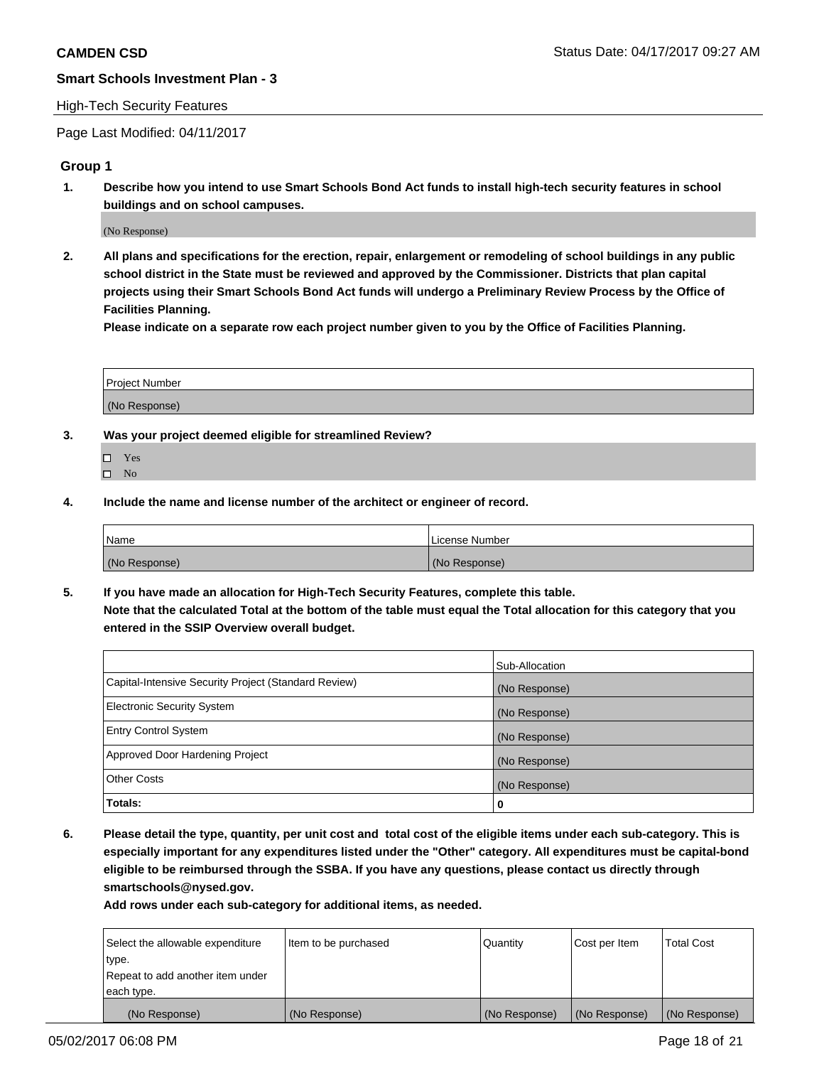#### High-Tech Security Features

Page Last Modified: 04/11/2017

### **Group 1**

**1. Describe how you intend to use Smart Schools Bond Act funds to install high-tech security features in school buildings and on school campuses.**

(No Response)

**2. All plans and specifications for the erection, repair, enlargement or remodeling of school buildings in any public school district in the State must be reviewed and approved by the Commissioner. Districts that plan capital projects using their Smart Schools Bond Act funds will undergo a Preliminary Review Process by the Office of Facilities Planning.** 

**Please indicate on a separate row each project number given to you by the Office of Facilities Planning.**

| Project Number |  |
|----------------|--|
|                |  |
| (No Response)  |  |

- **3. Was your project deemed eligible for streamlined Review?**
	- Yes  $\hfill \square$  No
- **4. Include the name and license number of the architect or engineer of record.**

| Name          | License Number |
|---------------|----------------|
| (No Response) | (No Response)  |

**5. If you have made an allocation for High-Tech Security Features, complete this table. Note that the calculated Total at the bottom of the table must equal the Total allocation for this category that you entered in the SSIP Overview overall budget.**

|                                                      | Sub-Allocation |
|------------------------------------------------------|----------------|
| Capital-Intensive Security Project (Standard Review) | (No Response)  |
| <b>Electronic Security System</b>                    | (No Response)  |
| <b>Entry Control System</b>                          | (No Response)  |
| Approved Door Hardening Project                      | (No Response)  |
| <b>Other Costs</b>                                   | (No Response)  |
| Totals:                                              | 0              |

**6. Please detail the type, quantity, per unit cost and total cost of the eligible items under each sub-category. This is especially important for any expenditures listed under the "Other" category. All expenditures must be capital-bond eligible to be reimbursed through the SSBA. If you have any questions, please contact us directly through smartschools@nysed.gov.**

| (No Response)                    | (No Response)        | (No Response) | (No Response) | (No Response)     |
|----------------------------------|----------------------|---------------|---------------|-------------------|
| each type.                       |                      |               |               |                   |
| Repeat to add another item under |                      |               |               |                   |
| type.                            |                      |               |               |                   |
| Select the allowable expenditure | Item to be purchased | Quantity      | Cost per Item | <b>Total Cost</b> |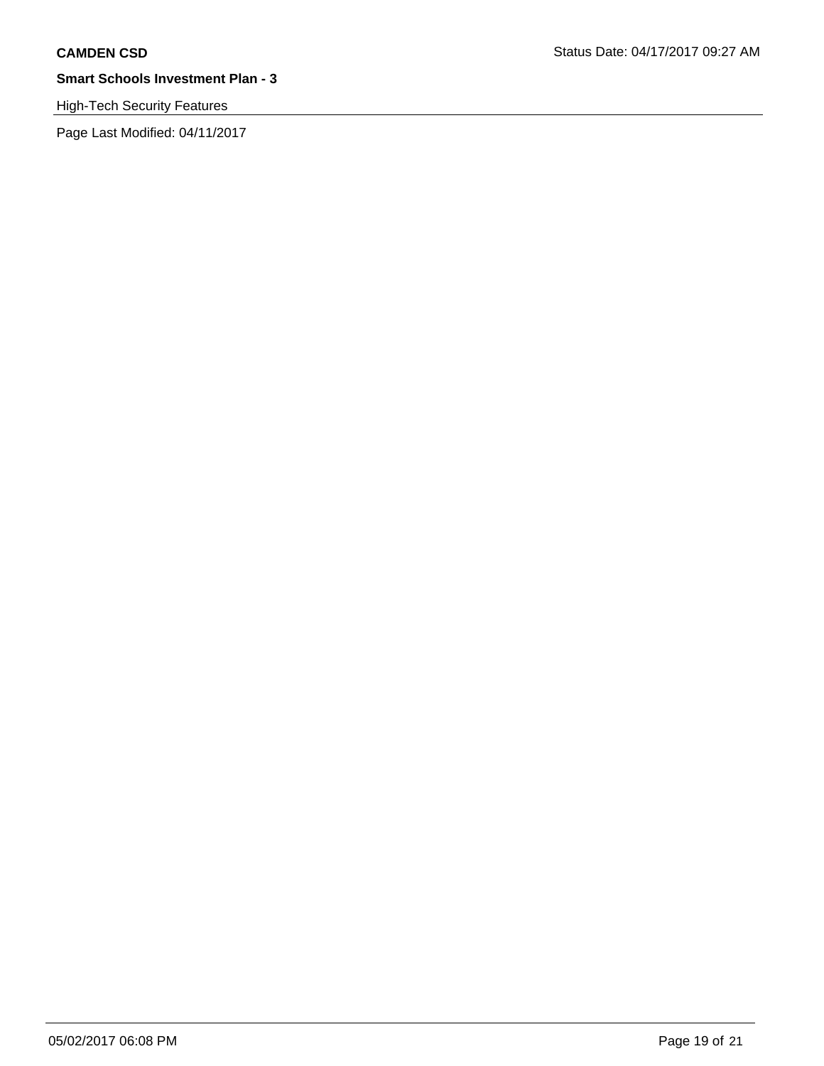High-Tech Security Features

Page Last Modified: 04/11/2017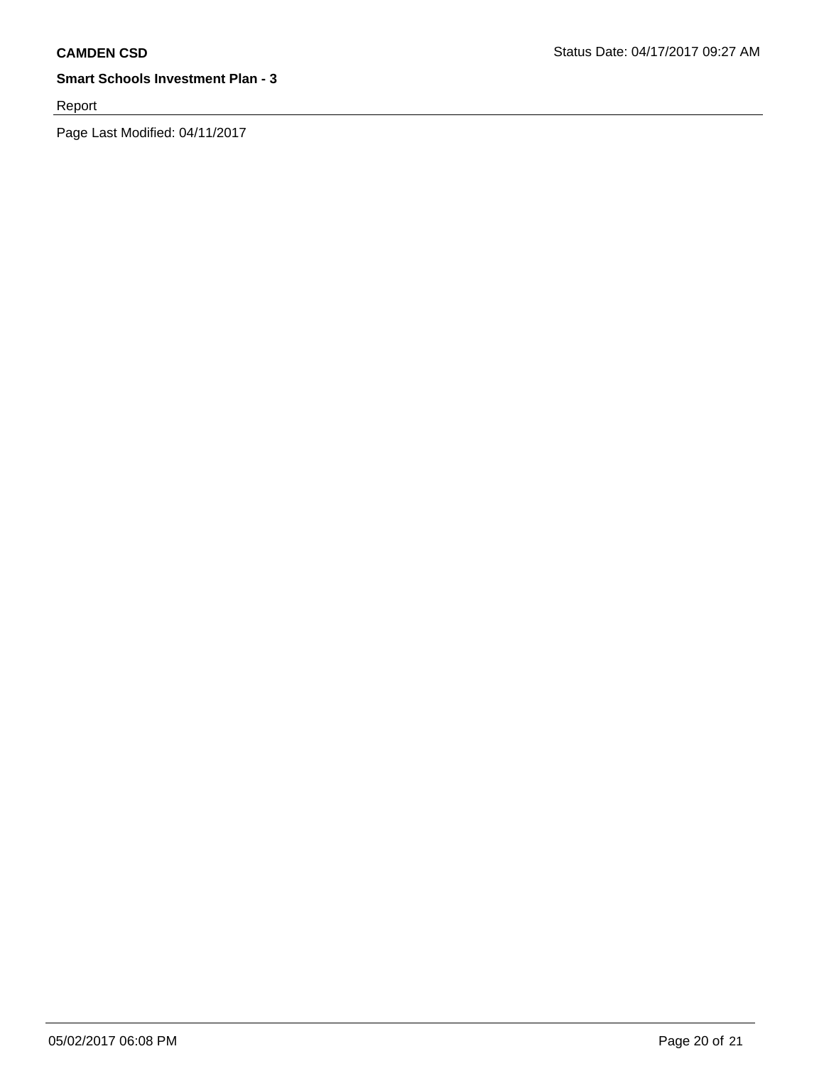Report

Page Last Modified: 04/11/2017